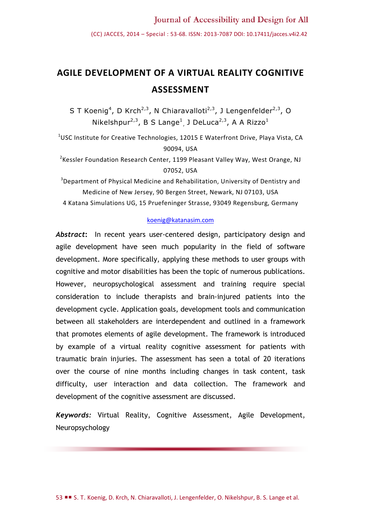# **AGILE DEVELOPMENT OF A VIRTUAL REALITY COGNITIVE ASSESSMENT**

S T Koenig<sup>4</sup>, D Krch<sup>2,3</sup>, N Chiaravalloti<sup>2,3</sup>, J Lengenfelder<sup>2,3</sup>, O Nikelshpur<sup>2,3</sup>, B S Lange<sup>1</sup>, J DeLuca<sup>2,3</sup>, A A Rizzo<sup>1</sup>

<sup>1</sup>USC Institute for Creative Technologies, 12015 E Waterfront Drive, Playa Vista, CA 90094, USA

<sup>2</sup>Kessler Foundation Research Center, 1199 Pleasant Valley Way, West Orange, NJ 07052, USA

<sup>3</sup>Department of Physical Medicine and Rehabilitation, University of Dentistry and Medicine of New Jersey, 90 Bergen Street, Newark, NJ 07103, USA 4 Katana Simulations UG, 15 Pruefeninger Strasse, 93049 Regensburg, Germany

#### [koenig@katanasim.com](mailto:koenig@katanasim.com)

*Abstract***:** In recent years user-centered design, participatory design and agile development have seen much popularity in the field of software development. More specifically, applying these methods to user groups with cognitive and motor disabilities has been the topic of numerous publications. However, neuropsychological assessment and training require special consideration to include therapists and brain-injured patients into the development cycle. Application goals, development tools and communication between all stakeholders are interdependent and outlined in a framework that promotes elements of agile development. The framework is introduced by example of a virtual reality cognitive assessment for patients with traumatic brain injuries. The assessment has seen a total of 20 iterations over the course of nine months including changes in task content, task difficulty, user interaction and data collection. The framework and development of the cognitive assessment are discussed.

*Keywords:* Virtual Reality, Cognitive Assessment, Agile Development, Neuropsychology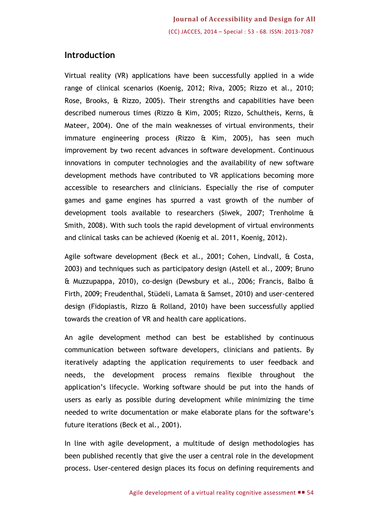## **Introduction**

Virtual reality (VR) applications have been successfully applied in a wide range of clinical scenarios (Koenig, 2012; [Riva, 2005;](#page--1-0) [Rizzo et al., 2010;](#page--1-1) [Rose, Brooks, & Rizzo, 2005\)](#page--1-2). Their strengths and capabilities have been described numerous times [\(Rizzo & Kim, 2005;](#page--1-3) [Rizzo, Schultheis, Kerns, &](#page--1-4)  [Mateer, 2004\)](#page--1-4). One of the main weaknesses of virtual environments, their immature engineering process [\(Rizzo & Kim, 2005\)](#page--1-3), has seen much improvement by two recent advances in software development. Continuous innovations in computer technologies and the availability of new software development methods have contributed to VR applications becoming more accessible to researchers and clinicians. Especially the rise of computer games and game engines has spurred a vast growth of the number of development tools available to researchers (Siwek, 2007; Trenholme & Smith, 2008). With such tools the rapid development of virtual environments and clinical tasks can be achieved (Koenig et al. 2011, Koenig, 2012).

Agile software development (Beck et al., 2001; [Cohen, Lindvall, & Costa,](#page--1-5)  [2003\)](#page--1-5) and techniques such as participatory design (Astell et al., 2009; Bruno & Muzzupappa, 2010), co-design (Dewsbury et al., 2006; Francis, Balbo & Firth, 2009; Freudenthal, Stüdeli, Lamata & Samset, 2010) and user-centered design (Fidopiastis, Rizzo & Rolland, 2010) have been successfully applied towards the creation of VR and health care applications.

An agile development method can best be established by continuous communication between software developers, clinicians and patients. By iteratively adapting the application requirements to user feedback and needs, the development process remains flexible throughout the application's lifecycle. Working software should be put into the hands of users as early as possible during development while minimizing the time needed to write documentation or make elaborate plans for the software's future iterations (Beck et al., 2001).

In line with agile development, a multitude of design methodologies has been published recently that give the user a central role in the development process. User-centered design places its focus on defining requirements and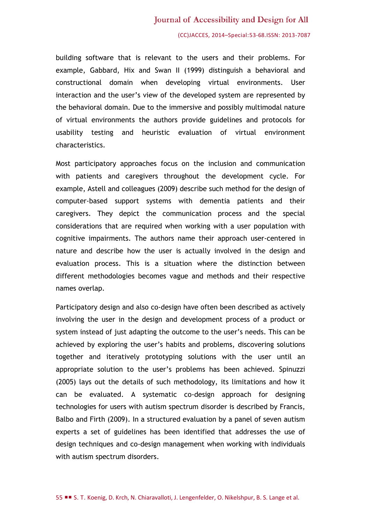#### Journal of Accessibility and Design for All

#### (CC)JACCES, 2014–Special:53-68.ISSN: 2013-7087

building software that is relevant to the users and their problems. For example, Gabbard, Hix and Swan II (1999) distinguish a behavioral and constructional domain when developing virtual environments. User interaction and the user's view of the developed system are represented by the behavioral domain. Due to the immersive and possibly multimodal nature of virtual environments the authors provide guidelines and protocols for usability testing and heuristic evaluation of virtual environment characteristics.

Most participatory approaches focus on the inclusion and communication with patients and caregivers throughout the development cycle. For example, Astell and colleagues (2009) describe such method for the design of computer-based support systems with dementia patients and their caregivers. They depict the communication process and the special considerations that are required when working with a user population with cognitive impairments. The authors name their approach user-centered in nature and describe how the user is actually involved in the design and evaluation process. This is a situation where the distinction between different methodologies becomes vague and methods and their respective names overlap.

Participatory design and also co-design have often been described as actively involving the user in the design and development process of a product or system instead of just adapting the outcome to the user's needs. This can be achieved by exploring the user's habits and problems, discovering solutions together and iteratively prototyping solutions with the user until an appropriate solution to the user's problems has been achieved. Spinuzzi (2005) lays out the details of such methodology, its limitations and how it can be evaluated. A systematic co-design approach for designing technologies for users with autism spectrum disorder is described by Francis, Balbo and Firth (2009). In a structured evaluation by a panel of seven autism experts a set of guidelines has been identified that addresses the use of design techniques and co-design management when working with individuals with autism spectrum disorders.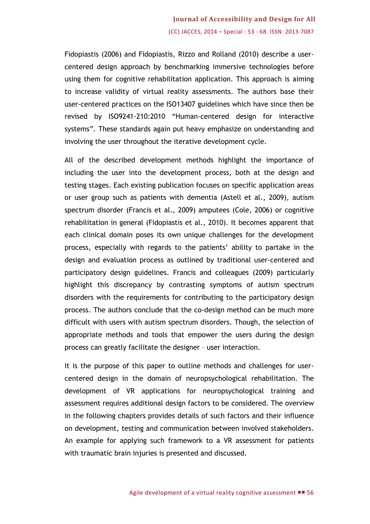## **Journal of Accessibility and Design for All** (CC) JACCES, 2014 – Special : 53 - 68. ISSN: 2013-7087

Fidopiastis (2006) and Fidopiastis, Rizzo and Rolland (2010) describe a usercentered design approach by benchmarking immersive technologies before using them for cognitive rehabilitation application. This approach is aiming to increase validity of virtual reality assessments. The authors base their user-centered practices on the ISO13407 guidelines which have since then be revised by ISO9241-210:2010 "Human-centered design for interactive systems". These standards again put heavy emphasize on understanding and involving the user throughout the iterative development cycle.

All of the described development methods highlight the importance of including the user into the development process, both at the design and testing stages. Each existing publication focuses on specific application areas or user group such as patients with dementia (Astell et al., 2009), autism spectrum disorder (Francis et al., 2009) amputees (Cole, 2006) or cognitive rehabilitation in general (Fidopiastis et al., 2010). It becomes apparent that each clinical domain poses its own unique challenges for the development process, especially with regards to the patients' ability to partake in the design and evaluation process as outlined by traditional user-centered and participatory design guidelines. Francis and colleagues (2009) particularly highlight this discrepancy by contrasting symptoms of autism spectrum disorders with the requirements for contributing to the participatory design process. The authors conclude that the co-design method can be much more difficult with users with autism spectrum disorders. Though, the selection of appropriate methods and tools that empower the users during the design process can greatly facilitate the designer – user interaction.

It is the purpose of this paper to outline methods and challenges for usercentered design in the domain of neuropsychological rehabilitation. The development of VR applications for neuropsychological training and assessment requires additional design factors to be considered. The overview in the following chapters provides details of such factors and their influence on development, testing and communication between involved stakeholders. An example for applying such framework to a VR assessment for patients with traumatic brain injuries is presented and discussed.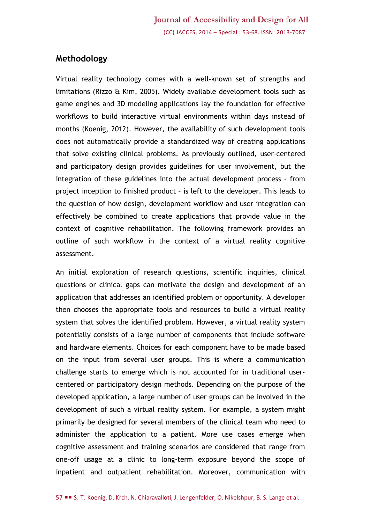## **Methodology**

Virtual reality technology comes with a well-known set of strengths and limitations (Rizzo & Kim, 2005). Widely available development tools such as game engines and 3D modeling applications lay the foundation for effective workflows to build interactive virtual environments within days instead of months (Koenig, 2012). However, the availability of such development tools does not automatically provide a standardized way of creating applications that solve existing clinical problems. As previously outlined, user-centered and participatory design provides guidelines for user involvement, but the integration of these guidelines into the actual development process – from project inception to finished product – is left to the developer. This leads to the question of how design, development workflow and user integration can effectively be combined to create applications that provide value in the context of cognitive rehabilitation. The following framework provides an outline of such workflow in the context of a virtual reality cognitive assessment.

An initial exploration of research questions, scientific inquiries, clinical questions or clinical gaps can motivate the design and development of an application that addresses an identified problem or opportunity. A developer then chooses the appropriate tools and resources to build a virtual reality system that solves the identified problem. However, a virtual reality system potentially consists of a large number of components that include software and hardware elements. Choices for each component have to be made based on the input from several user groups. This is where a communication challenge starts to emerge which is not accounted for in traditional usercentered or participatory design methods. Depending on the purpose of the developed application, a large number of user groups can be involved in the development of such a virtual reality system. For example, a system might primarily be designed for several members of the clinical team who need to administer the application to a patient. More use cases emerge when cognitive assessment and training scenarios are considered that range from one-off usage at a clinic to long-term exposure beyond the scope of inpatient and outpatient rehabilitation. Moreover, communication with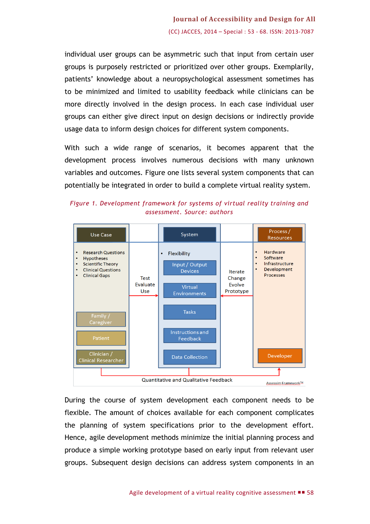individual user groups can be asymmetric such that input from certain user groups is purposely restricted or prioritized over other groups. Exemplarily, patients' knowledge about a neuropsychological assessment sometimes has to be minimized and limited to usability feedback while clinicians can be more directly involved in the design process. In each case individual user groups can either give direct input on design decisions or indirectly provide usage data to inform design choices for different system components.

With such a wide range of scenarios, it becomes apparent that the development process involves numerous decisions with many unknown variables and outcomes. Figure one lists several system components that can potentially be integrated in order to build a complete virtual reality system.



*Figure 1. Development framework for systems of virtual reality training and assessment. Source: authors* 

During the course of system development each component needs to be flexible. The amount of choices available for each component complicates the planning of system specifications prior to the development effort. Hence, agile development methods minimize the initial planning process and produce a simple working prototype based on early input from relevant user groups. Subsequent design decisions can address system components in an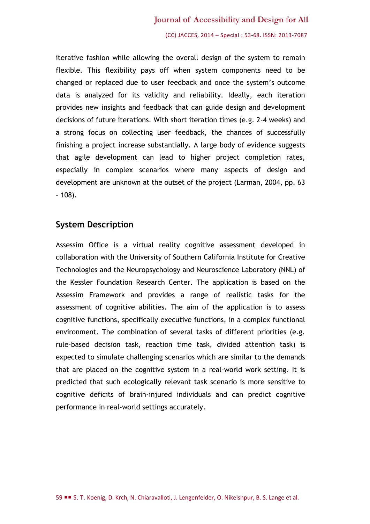#### Journal of Accessibility and Design for All

(CC) JACCES, 2014 – Special : 53-68. ISSN: 2013-7087

iterative fashion while allowing the overall design of the system to remain flexible. This flexibility pays off when system components need to be changed or replaced due to user feedback and once the system's outcome data is analyzed for its validity and reliability. Ideally, each iteration provides new insights and feedback that can guide design and development decisions of future iterations. With short iteration times (e.g. 2-4 weeks) and a strong focus on collecting user feedback, the chances of successfully finishing a project increase substantially. A large body of evidence suggests that agile development can lead to higher project completion rates, especially in complex scenarios where many aspects of design and development are unknown at the outset of the project (Larman, 2004, pp. 63  $-108$ ).

#### **System Description**

Assessim Office is a virtual reality cognitive assessment developed in collaboration with the University of Southern California Institute for Creative Technologies and the Neuropsychology and Neuroscience Laboratory (NNL) of the Kessler Foundation Research Center. The application is based on the Assessim Framework and provides a range of realistic tasks for the assessment of cognitive abilities. The aim of the application is to assess cognitive functions, specifically executive functions, in a complex functional environment. The combination of several tasks of different priorities (e.g. rule-based decision task, reaction time task, divided attention task) is expected to simulate challenging scenarios which are similar to the demands that are placed on the cognitive system in a real-world work setting. It is predicted that such ecologically relevant task scenario is more sensitive to cognitive deficits of brain-injured individuals and can predict cognitive performance in real-world settings accurately.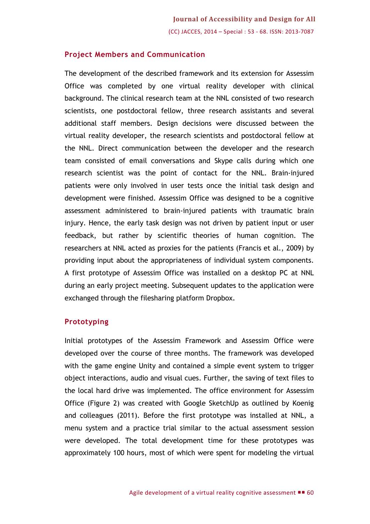#### **Project Members and Communication**

The development of the described framework and its extension for Assessim Office was completed by one virtual reality developer with clinical background. The clinical research team at the NNL consisted of two research scientists, one postdoctoral fellow, three research assistants and several additional staff members. Design decisions were discussed between the virtual reality developer, the research scientists and postdoctoral fellow at the NNL. Direct communication between the developer and the research team consisted of email conversations and Skype calls during which one research scientist was the point of contact for the NNL. Brain-injured patients were only involved in user tests once the initial task design and development were finished. Assessim Office was designed to be a cognitive assessment administered to brain-injured patients with traumatic brain injury. Hence, the early task design was not driven by patient input or user feedback, but rather by scientific theories of human cognition. The researchers at NNL acted as proxies for the patients (Francis et al., 2009) by providing input about the appropriateness of individual system components. A first prototype of Assessim Office was installed on a desktop PC at NNL during an early project meeting. Subsequent updates to the application were exchanged through the filesharing platform Dropbox.

#### **Prototyping**

Initial prototypes of the Assessim Framework and Assessim Office were developed over the course of three months. The framework was developed with the game engine Unity and contained a simple event system to trigger object interactions, audio and visual cues. Further, the saving of text files to the local hard drive was implemented. The office environment for Assessim Office (Figure 2) was created with Google SketchUp as outlined by Koenig and colleagues (2011). Before the first prototype was installed at NNL, a menu system and a practice trial similar to the actual assessment session were developed. The total development time for these prototypes was approximately 100 hours, most of which were spent for modeling the virtual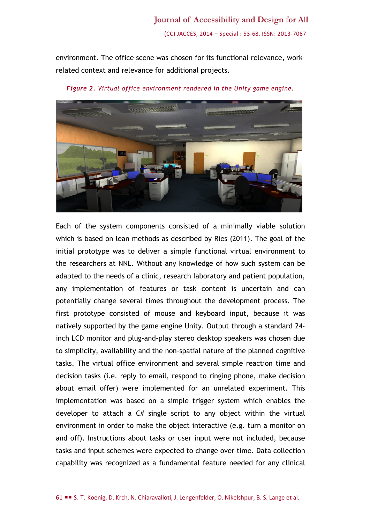environment. The office scene was chosen for its functional relevance, workrelated context and relevance for additional projects.



*Figure 2. Virtual office environment rendered in the Unity game engine.*

Each of the system components consisted of a minimally viable solution which is based on lean methods as described by Ries (2011). The goal of the initial prototype was to deliver a simple functional virtual environment to the researchers at NNL. Without any knowledge of how such system can be adapted to the needs of a clinic, research laboratory and patient population, any implementation of features or task content is uncertain and can potentially change several times throughout the development process. The first prototype consisted of mouse and keyboard input, because it was natively supported by the game engine Unity. Output through a standard 24 inch LCD monitor and plug-and-play stereo desktop speakers was chosen due to simplicity, availability and the non-spatial nature of the planned cognitive tasks. The virtual office environment and several simple reaction time and decision tasks (i.e. reply to email, respond to ringing phone, make decision about email offer) were implemented for an unrelated experiment. This implementation was based on a simple trigger system which enables the developer to attach a  $C#$  single script to any object within the virtual environment in order to make the object interactive (e.g. turn a monitor on and off). Instructions about tasks or user input were not included, because tasks and input schemes were expected to change over time. Data collection capability was recognized as a fundamental feature needed for any clinical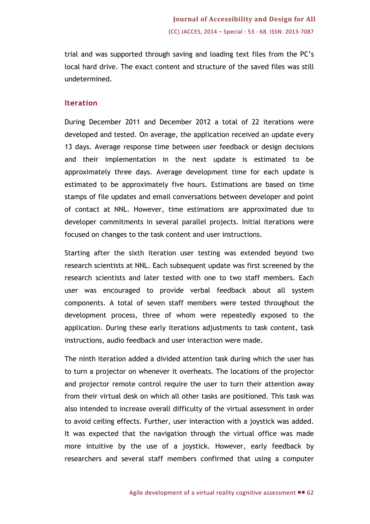trial and was supported through saving and loading text files from the PC's local hard drive. The exact content and structure of the saved files was still undetermined.

#### **Iteration**

During December 2011 and December 2012 a total of 22 iterations were developed and tested. On average, the application received an update every 13 days. Average response time between user feedback or design decisions and their implementation in the next update is estimated to be approximately three days. Average development time for each update is estimated to be approximately five hours. Estimations are based on time stamps of file updates and email conversations between developer and point of contact at NNL. However, time estimations are approximated due to developer commitments in several parallel projects. Initial iterations were focused on changes to the task content and user instructions.

Starting after the sixth iteration user testing was extended beyond two research scientists at NNL. Each subsequent update was first screened by the research scientists and later tested with one to two staff members. Each user was encouraged to provide verbal feedback about all system components. A total of seven staff members were tested throughout the development process, three of whom were repeatedly exposed to the application. During these early iterations adjustments to task content, task instructions, audio feedback and user interaction were made.

The ninth iteration added a divided attention task during which the user has to turn a projector on whenever it overheats. The locations of the projector and projector remote control require the user to turn their attention away from their virtual desk on which all other tasks are positioned. This task was also intended to increase overall difficulty of the virtual assessment in order to avoid ceiling effects. Further, user interaction with a joystick was added. It was expected that the navigation through the virtual office was made more intuitive by the use of a joystick. However, early feedback by researchers and several staff members confirmed that using a computer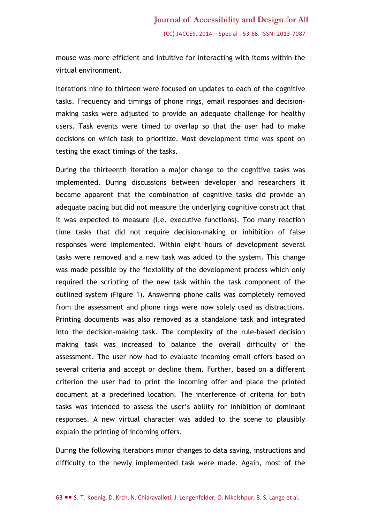mouse was more efficient and intuitive for interacting with items within the virtual environment.

Iterations nine to thirteen were focused on updates to each of the cognitive tasks. Frequency and timings of phone rings, email responses and decisionmaking tasks were adjusted to provide an adequate challenge for healthy users. Task events were timed to overlap so that the user had to make decisions on which task to prioritize. Most development time was spent on testing the exact timings of the tasks.

During the thirteenth iteration a major change to the cognitive tasks was implemented. During discussions between developer and researchers it became apparent that the combination of cognitive tasks did provide an adequate pacing but did not measure the underlying cognitive construct that it was expected to measure (i.e. executive functions). Too many reaction time tasks that did not require decision-making or inhibition of false responses were implemented. Within eight hours of development several tasks were removed and a new task was added to the system. This change was made possible by the flexibility of the development process which only required the scripting of the new task within the task component of the outlined system (Figure 1). Answering phone calls was completely removed from the assessment and phone rings were now solely used as distractions. Printing documents was also removed as a standalone task and integrated into the decision-making task. The complexity of the rule-based decision making task was increased to balance the overall difficulty of the assessment. The user now had to evaluate incoming email offers based on several criteria and accept or decline them. Further, based on a different criterion the user had to print the incoming offer and place the printed document at a predefined location. The interference of criteria for both tasks was intended to assess the user's ability for inhibition of dominant responses. A new virtual character was added to the scene to plausibly explain the printing of incoming offers.

During the following iterations minor changes to data saving, instructions and difficulty to the newly implemented task were made. Again, most of the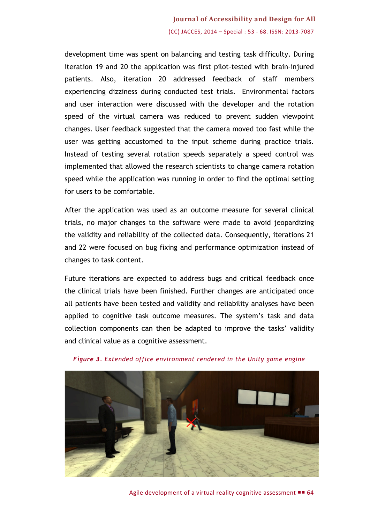## **Journal of Accessibility and Design for All** (CC) JACCES, 2014 – Special : 53 - 68. ISSN: 2013-7087

development time was spent on balancing and testing task difficulty. During iteration 19 and 20 the application was first pilot-tested with brain-injured patients. Also, iteration 20 addressed feedback of staff members experiencing dizziness during conducted test trials. Environmental factors and user interaction were discussed with the developer and the rotation speed of the virtual camera was reduced to prevent sudden viewpoint changes. User feedback suggested that the camera moved too fast while the user was getting accustomed to the input scheme during practice trials. Instead of testing several rotation speeds separately a speed control was implemented that allowed the research scientists to change camera rotation speed while the application was running in order to find the optimal setting for users to be comfortable.

After the application was used as an outcome measure for several clinical trials, no major changes to the software were made to avoid jeopardizing the validity and reliability of the collected data. Consequently, iterations 21 and 22 were focused on bug fixing and performance optimization instead of changes to task content.

Future iterations are expected to address bugs and critical feedback once the clinical trials have been finished. Further changes are anticipated once all patients have been tested and validity and reliability analyses have been applied to cognitive task outcome measures. The system's task and data collection components can then be adapted to improve the tasks' validity and clinical value as a cognitive assessment.



*Figure 3. Extended office environment rendered in the Unity game engine*

Agile development of a virtual reality cognitive assessment  $\blacksquare$  64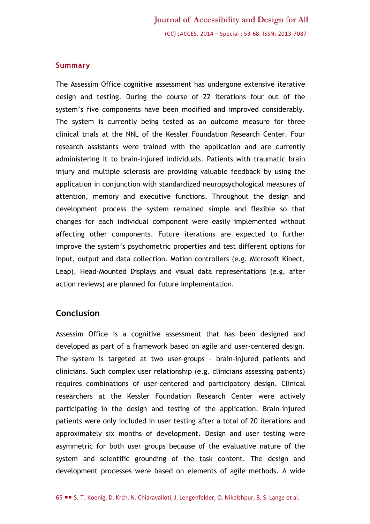#### **Summary**

The Assessim Office cognitive assessment has undergone extensive iterative design and testing. During the course of 22 iterations four out of the system's five components have been modified and improved considerably. The system is currently being tested as an outcome measure for three clinical trials at the NNL of the Kessler Foundation Research Center. Four research assistants were trained with the application and are currently administering it to brain-injured individuals. Patients with traumatic brain injury and multiple sclerosis are providing valuable feedback by using the application in conjunction with standardized neuropsychological measures of attention, memory and executive functions. Throughout the design and development process the system remained simple and flexible so that changes for each individual component were easily implemented without affecting other components. Future iterations are expected to further improve the system's psychometric properties and test different options for input, output and data collection. Motion controllers (e.g. Microsoft Kinect, Leap), Head-Mounted Displays and visual data representations (e.g. after action reviews) are planned for future implementation.

#### **Conclusion**

Assessim Office is a cognitive assessment that has been designed and developed as part of a framework based on agile and user-centered design. The system is targeted at two user-groups – brain-injured patients and clinicians. Such complex user relationship (e.g. clinicians assessing patients) requires combinations of user-centered and participatory design. Clinical researchers at the Kessler Foundation Research Center were actively participating in the design and testing of the application. Brain-injured patients were only included in user testing after a total of 20 iterations and approximately six months of development. Design and user testing were asymmetric for both user groups because of the evaluative nature of the system and scientific grounding of the task content. The design and development processes were based on elements of agile methods. A wide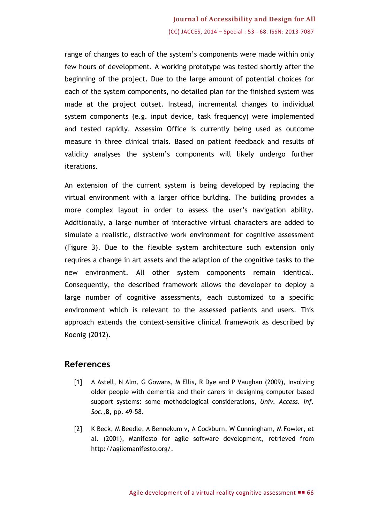## **Journal of Accessibility and Design for All** (CC) JACCES, 2014 – Special : 53 - 68. ISSN: 2013-7087

range of changes to each of the system's components were made within only few hours of development. A working prototype was tested shortly after the beginning of the project. Due to the large amount of potential choices for each of the system components, no detailed plan for the finished system was made at the project outset. Instead, incremental changes to individual system components (e.g. input device, task frequency) were implemented and tested rapidly. Assessim Office is currently being used as outcome measure in three clinical trials. Based on patient feedback and results of validity analyses the system's components will likely undergo further iterations.

An extension of the current system is being developed by replacing the virtual environment with a larger office building. The building provides a more complex layout in order to assess the user's navigation ability. Additionally, a large number of interactive virtual characters are added to simulate a realistic, distractive work environment for cognitive assessment (Figure 3). Due to the flexible system architecture such extension only requires a change in art assets and the adaption of the cognitive tasks to the new environment. All other system components remain identical. Consequently, the described framework allows the developer to deploy a large number of cognitive assessments, each customized to a specific environment which is relevant to the assessed patients and users. This approach extends the context-sensitive clinical framework as described by Koenig (2012).

### **References**

- [1] A Astell, N Alm, G Gowans, M Ellis, R Dye and P Vaughan (2009), Involving older people with dementia and their carers in designing computer based support systems: some methodological considerations, *Univ. Access. Inf. Soc.,***8**, pp. 49-58.
- [2] K Beck, M Beedle, A Bennekum v, A Cockburn, W Cunningham, M Fowler, et al. (2001), Manifesto for agile software development, retrieved from [http://agilemanifesto.org/.](http://agilemanifesto.org/)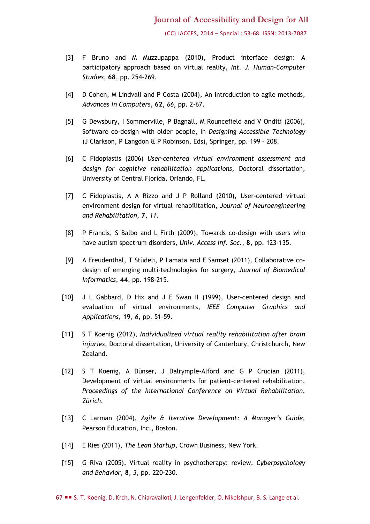(CC) JACCES, 2014 – Special : 53-68. ISSN: 2013-7087

- [3] F Bruno and M Muzzupappa (2010), Product interface design: A participatory approach based on virtual reality, *Int. J. Human-Computer Studies*, **68**, pp. 254-269.
- [4] D Cohen, M Lindvall and P Costa (2004), An introduction to agile methods, *Advances in Computers*, **62,** *66*, pp. 2-67.
- [5] G Dewsbury, I Sommerville, P Bagnall, M Rouncefield and V Onditi (2006), Software co-design with older people, In *Designing Accessible Technology* (J Clarkson, P Langdon & P Robinson, Eds), Springer, pp. 199 – 208.
- [6] C Fidopiastis (2006) *User-centered virtual environment assessment and design for cognitive rehabilitation applications,* Doctoral dissertation, University of Central Florida, Orlando, FL.
- [7] C Fidopiastis, A A Rizzo and J P Rolland (2010), User-centered virtual environment design for virtual rehabilitation, *Journal of Neuroengineering and Rehabilitation*, **7**, *11*.
- [8] P Francis, S Balbo and L Firth (2009), Towards co-design with users who have autism spectrum disorders, *Univ. Access Inf. Soc.*, **8**, pp. 123-135.
- [9] A Freudenthal, T Stüdeli, P Lamata and E Samset (2011), Collaborative codesign of emerging multi-technologies for surgery, *Journal of Biomedical Informatics*, **44**, pp. 198-215.
- [10] J L Gabbard, D Hix and J E Swan II (1999), User-centered design and evaluation of virtual environments, *IEEE Computer Graphics and Applications*, **19**, *6*, pp. 51-59.
- [11] S T Koenig (2012), *Individualized virtual reality rehabilitation after brain injuries*, Doctoral dissertation, University of Canterbury, Christchurch, New Zealand.
- [12] S T Koenig, A Dünser, J Dalrymple-Alford and G P Crucian (2011), Development of virtual environments for patient-centered rehabilitation, *Proceedings of the International Conference on Virtual Rehabilitation*, *Zürich.*
- [13] C Larman (2004), *Agile & Iterative Development: A Manager's Guide,*  Pearson Education, Inc., Boston.
- [14] E Ries (2011), *The Lean Startup*, Crown Business, New York.
- [15] G Riva (2005), Virtual reality in psychotherapy: review, *Cyberpsychology and Behavior*, **8**, *3*, pp. 220-230.